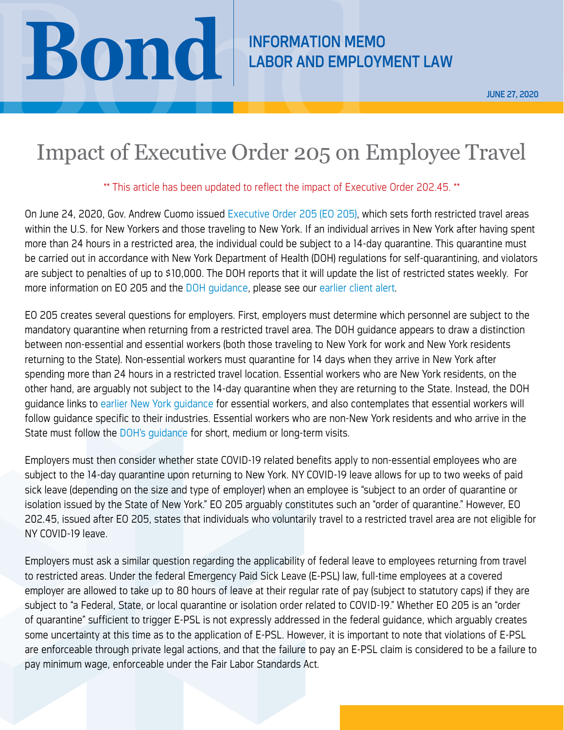## **Bond June 27, 2020**<br>
LABOR AND EMPLOYMENT LAW JUNE 27, 2020<br>
Impact of Executive Order 205 on Employee Travel

JUNE 27, 2020

## Impact of Executive Order 205 on Employee Travel

## \*\* This article has been updated to reflect the impact of Executive Order 202.45. \*\*

On June 24, 2020, Gov. Andrew Cuomo issued [Executive Order 205 \(EO 205\),](https://www.governor.ny.gov/news/no-205-quarantine-restrictions-travelers-arriving-new-york) which sets forth restricted travel areas within the U.S. for New Yorkers and those traveling to New York. If an individual arrives in New York after having spent more than 24 hours in a restricted area, the individual could be subject to a 14-day quarantine. This quarantine must be carried out in accordance with New York Department of Health (DOH) regulations for self-quarantining, and violators are subject to penalties of up to \$10,000. The DOH reports that it will update the list of restricted states weekly. For more information on EO 205 and the [DOH guidance](https://coronavirus.health.ny.gov/system/files/documents/2020/06/interimguidance_traveladvisory.pdf), please see our [earlier client alert](https://www.bsk.com/news-insights/new-york-travel-restrictions-frequently-asked-questionsnbsp).

EO 205 creates several questions for employers. First, employers must determine which personnel are subject to the mandatory quarantine when returning from a restricted travel area. The DOH guidance appears to draw a distinction between non-essential and essential workers (both those traveling to New York for work and New York residents returning to the State). Non-essential workers must quarantine for 14 days when they arrive in New York after spending more than 24 hours in a restricted travel location. Essential workers who are New York residents, on the other hand, are arguably not subject to the 14-day quarantine when they are returning to the State. Instead, the DOH guidance links to [earlier New York guidance](https://coronavirus.health.ny.gov/system/files/documents/2020/06/doh_covid19_publicprivateemployeereturntowork_053120.pdf) for essential workers, and also contemplates that essential workers will follow guidance specific to their industries. Essential workers who are non-New York residents and who arrive in the State must follow the [DOH's guidance](https://coronavirus.health.ny.gov/system/files/documents/2020/06/interimguidance_traveladvisory.pdf) for short, medium or long-term visits.

Employers must then consider whether state COVID-19 related benefits apply to non-essential employees who are subject to the 14-day quarantine upon returning to New York. NY COVID-19 leave allows for up to two weeks of paid sick leave (depending on the size and type of employer) when an employee is "subject to an order of quarantine or isolation issued by the State of New York." EO 205 arguably constitutes such an "order of quarantine." However, EO 202.45, issued after EO 205, states that individuals who voluntarily travel to a restricted travel area are not eligible for NY COVID-19 leave.

Employers must ask a similar question regarding the applicability of federal leave to employees returning from travel to restricted areas. Under the federal Emergency Paid Sick Leave (E-PSL) law, full-time employees at a covered employer are allowed to take up to 80 hours of leave at their regular rate of pay (subject to statutory caps) if they are subject to "a Federal, State, or local quarantine or isolation order related to COVID-19." Whether EO 205 is an "order of quarantine" sufficient to trigger E-PSL is not expressly addressed in the federal guidance, which arguably creates some uncertainty at this time as to the application of E-PSL. However, it is important to note that violations of E-PSL are enforceable through private legal actions, and that the failure to pay an E-PSL claim is considered to be a failure to pay minimum wage, enforceable under the Fair Labor Standards Act.